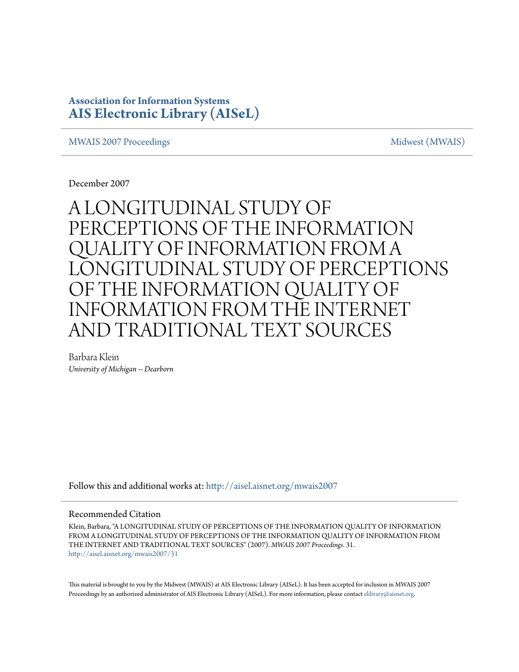# **Association for Information Systems [AIS Electronic Library \(AISeL\)](http://aisel.aisnet.org?utm_source=aisel.aisnet.org%2Fmwais2007%2F31&utm_medium=PDF&utm_campaign=PDFCoverPages)**

### [MWAIS 2007 Proceedings](http://aisel.aisnet.org/mwais2007?utm_source=aisel.aisnet.org%2Fmwais2007%2F31&utm_medium=PDF&utm_campaign=PDFCoverPages) and the matrix of the [Midwest \(MWAIS\)](http://aisel.aisnet.org/mwais?utm_source=aisel.aisnet.org%2Fmwais2007%2F31&utm_medium=PDF&utm_campaign=PDFCoverPages)

December 2007

# A LONGITUDINAL STUDY OF PERCEPTIONS OF THE INFORMATION QUALITY OF INFORMATION FROM A LONGITUDINAL STUDY OF PERCEPTIONS OF THE INFORMATION QUALITY OF INFORMATION FROM THE INTERNET AND TRADITIONAL TEXT SOURCES

Barbara Klein *University of Michigan -- Dearborn*

Follow this and additional works at: [http://aisel.aisnet.org/mwais2007](http://aisel.aisnet.org/mwais2007?utm_source=aisel.aisnet.org%2Fmwais2007%2F31&utm_medium=PDF&utm_campaign=PDFCoverPages)

#### Recommended Citation

Klein, Barbara, "A LONGITUDINAL STUDY OF PERCEPTIONS OF THE INFORMATION QUALITY OF INFORMATION FROM A LONGITUDINAL STUDY OF PERCEPTIONS OF THE INFORMATION QUALITY OF INFORMATION FROM THE INTERNET AND TRADITIONAL TEXT SOURCES" (2007). *MWAIS 2007 Proceedings*. 31. [http://aisel.aisnet.org/mwais2007/31](http://aisel.aisnet.org/mwais2007/31?utm_source=aisel.aisnet.org%2Fmwais2007%2F31&utm_medium=PDF&utm_campaign=PDFCoverPages)

This material is brought to you by the Midwest (MWAIS) at AIS Electronic Library (AISeL). It has been accepted for inclusion in MWAIS 2007 Proceedings by an authorized administrator of AIS Electronic Library (AISeL). For more information, please contact [elibrary@aisnet.org](mailto:elibrary@aisnet.org%3E).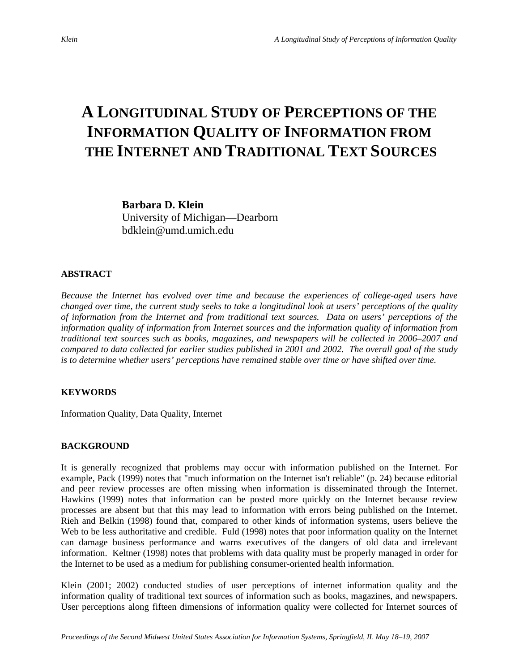# **A LONGITUDINAL STUDY OF PERCEPTIONS OF THE INFORMATION QUALITY OF INFORMATION FROM THE INTERNET AND TRADITIONAL TEXT SOURCES**

**Barbara D. Klein**  University of Michigan—Dearborn bdklein@umd.umich.edu

#### **ABSTRACT**

*Because the Internet has evolved over time and because the experiences of college-aged users have changed over time, the current study seeks to take a longitudinal look at users' perceptions of the quality of information from the Internet and from traditional text sources. Data on users' perceptions of the information quality of information from Internet sources and the information quality of information from traditional text sources such as books, magazines, and newspapers will be collected in 2006–2007 and compared to data collected for earlier studies published in 2001 and 2002. The overall goal of the study is to determine whether users' perceptions have remained stable over time or have shifted over time.* 

### **KEYWORDS**

Information Quality, Data Quality, Internet

### **BACKGROUND**

It is generally recognized that problems may occur with information published on the Internet. For example, Pack (1999) notes that "much information on the Internet isn't reliable" (p. 24) because editorial and peer review processes are often missing when information is disseminated through the Internet. Hawkins (1999) notes that information can be posted more quickly on the Internet because review processes are absent but that this may lead to information with errors being published on the Internet. Rieh and Belkin (1998) found that, compared to other kinds of information systems, users believe the Web to be less authoritative and credible. Fuld (1998) notes that poor information quality on the Internet can damage business performance and warns executives of the dangers of old data and irrelevant information. Keltner (1998) notes that problems with data quality must be properly managed in order for the Internet to be used as a medium for publishing consumer-oriented health information.

Klein (2001; 2002) conducted studies of user perceptions of internet information quality and the information quality of traditional text sources of information such as books, magazines, and newspapers. User perceptions along fifteen dimensions of information quality were collected for Internet sources of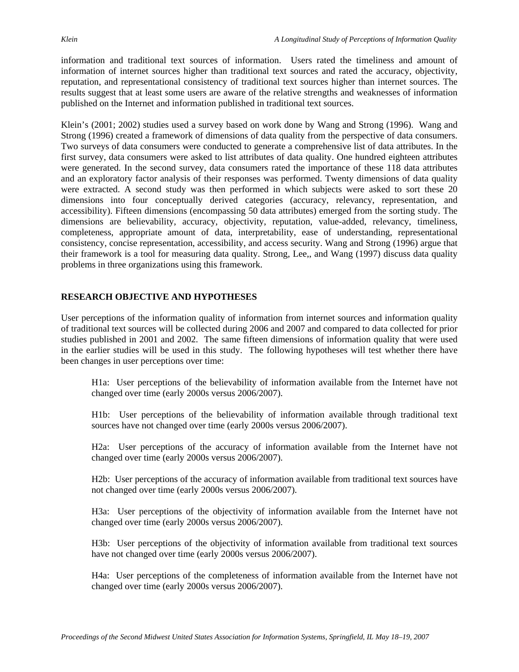information and traditional text sources of information. Users rated the timeliness and amount of information of internet sources higher than traditional text sources and rated the accuracy, objectivity, reputation, and representational consistency of traditional text sources higher than internet sources. The results suggest that at least some users are aware of the relative strengths and weaknesses of information published on the Internet and information published in traditional text sources.

Klein's (2001; 2002) studies used a survey based on work done by Wang and Strong (1996). Wang and Strong (1996) created a framework of dimensions of data quality from the perspective of data consumers. Two surveys of data consumers were conducted to generate a comprehensive list of data attributes. In the first survey, data consumers were asked to list attributes of data quality. One hundred eighteen attributes were generated. In the second survey, data consumers rated the importance of these 118 data attributes and an exploratory factor analysis of their responses was performed. Twenty dimensions of data quality were extracted. A second study was then performed in which subjects were asked to sort these 20 dimensions into four conceptually derived categories (accuracy, relevancy, representation, and accessibility). Fifteen dimensions (encompassing 50 data attributes) emerged from the sorting study. The dimensions are believability, accuracy, objectivity, reputation, value-added, relevancy, timeliness, completeness, appropriate amount of data, interpretability, ease of understanding, representational consistency, concise representation, accessibility, and access security. Wang and Strong (1996) argue that their framework is a tool for measuring data quality. Strong, Lee,, and Wang (1997) discuss data quality problems in three organizations using this framework.

## **RESEARCH OBJECTIVE AND HYPOTHESES**

User perceptions of the information quality of information from internet sources and information quality of traditional text sources will be collected during 2006 and 2007 and compared to data collected for prior studies published in 2001 and 2002. The same fifteen dimensions of information quality that were used in the earlier studies will be used in this study. The following hypotheses will test whether there have been changes in user perceptions over time:

H1a: User perceptions of the believability of information available from the Internet have not changed over time (early 2000s versus 2006/2007).

H1b: User perceptions of the believability of information available through traditional text sources have not changed over time (early 2000s versus 2006/2007).

H2a: User perceptions of the accuracy of information available from the Internet have not changed over time (early 2000s versus 2006/2007).

H2b: User perceptions of the accuracy of information available from traditional text sources have not changed over time (early 2000s versus 2006/2007).

H3a: User perceptions of the objectivity of information available from the Internet have not changed over time (early 2000s versus 2006/2007).

H3b: User perceptions of the objectivity of information available from traditional text sources have not changed over time (early 2000s versus 2006/2007).

H4a: User perceptions of the completeness of information available from the Internet have not changed over time (early 2000s versus 2006/2007).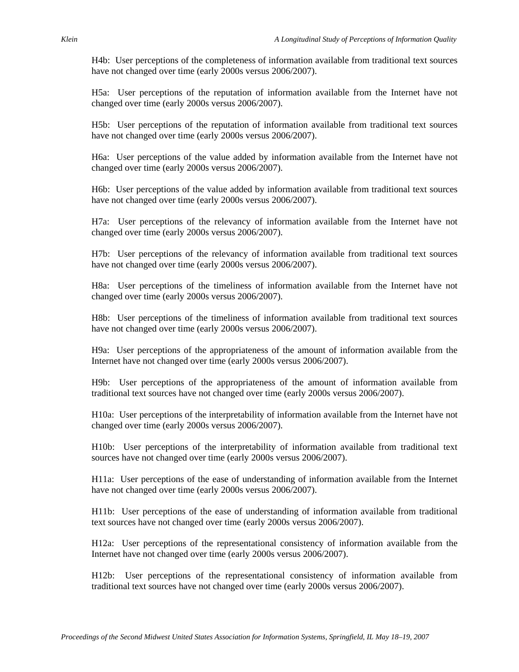H4b: User perceptions of the completeness of information available from traditional text sources have not changed over time (early 2000s versus 2006/2007).

H5a: User perceptions of the reputation of information available from the Internet have not changed over time (early 2000s versus 2006/2007).

H5b: User perceptions of the reputation of information available from traditional text sources have not changed over time (early 2000s versus 2006/2007).

H6a: User perceptions of the value added by information available from the Internet have not changed over time (early 2000s versus 2006/2007).

H6b: User perceptions of the value added by information available from traditional text sources have not changed over time (early 2000s versus 2006/2007).

H7a: User perceptions of the relevancy of information available from the Internet have not changed over time (early 2000s versus 2006/2007).

H7b: User perceptions of the relevancy of information available from traditional text sources have not changed over time (early 2000s versus 2006/2007).

H8a: User perceptions of the timeliness of information available from the Internet have not changed over time (early 2000s versus 2006/2007).

H8b: User perceptions of the timeliness of information available from traditional text sources have not changed over time (early 2000s versus 2006/2007).

H9a: User perceptions of the appropriateness of the amount of information available from the Internet have not changed over time (early 2000s versus 2006/2007).

H9b: User perceptions of the appropriateness of the amount of information available from traditional text sources have not changed over time (early 2000s versus 2006/2007).

H10a: User perceptions of the interpretability of information available from the Internet have not changed over time (early 2000s versus 2006/2007).

H10b: User perceptions of the interpretability of information available from traditional text sources have not changed over time (early 2000s versus 2006/2007).

H11a: User perceptions of the ease of understanding of information available from the Internet have not changed over time (early 2000s versus 2006/2007).

H11b: User perceptions of the ease of understanding of information available from traditional text sources have not changed over time (early 2000s versus 2006/2007).

H12a: User perceptions of the representational consistency of information available from the Internet have not changed over time (early 2000s versus 2006/2007).

H12b: User perceptions of the representational consistency of information available from traditional text sources have not changed over time (early 2000s versus 2006/2007).